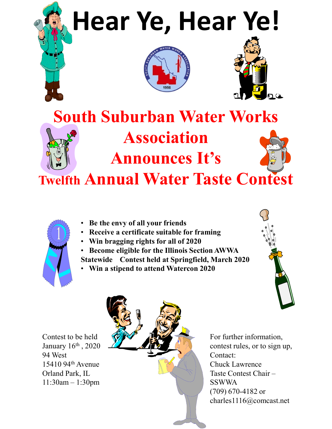## **Hear Ye, Hear Ye!**





## **South Suburban Water Works Association Announces It's**

**Twelfth Annual Water Taste Contest**



- **Be the envy of all your friends**
- **Receive a certificate suitable for framing**
- **Win bragging rights for all of 2020**
- **Become eligible for the Illinois Section AWWA Statewide Contest held at Springfield, March 2020**
- **Win a stipend to attend Watercon 2020**



Contest to be held January 16th , 2020 94 West 15410 94th Avenue Orland Park, IL 11:30am – 1:30pm



For further information, contest rules, or to sign up, Contact: Chuck Lawrence Taste Contest Chair – SSWWA (709) 670-4182 or charles1116@comcast.net